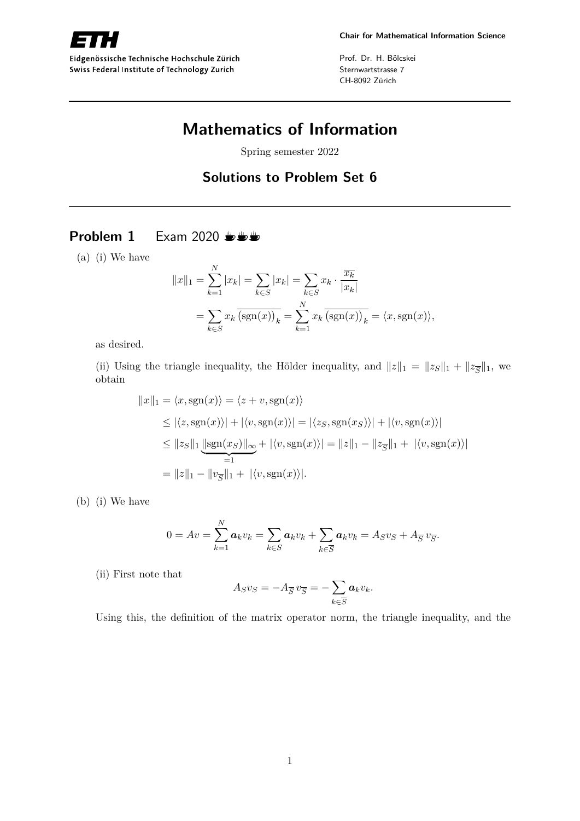

Eidgenössische Technische Hochschule Zürich Swiss Federal Institute of Technology Zurich

Prof. Dr. H. Bölcskei Sternwartstrasse 7 CH-8092 Zürich

# **Mathematics of Information**

Spring semester 2022

# **Solutions to Problem Set 6**

# **Problem 1** Exam 2020  $\frac{m}{k}$

(a) (i) We have

$$
||x||_1 = \sum_{k=1}^{N} |x_k| = \sum_{k \in S} |x_k| = \sum_{k \in S} x_k \cdot \frac{\overline{x_k}}{|x_k|}
$$
  
= 
$$
\sum_{k \in S} x_k \overline{\text{(sgn}(x))_k} = \sum_{k=1}^{N} x_k \overline{\text{(sgn}(x))_k} = \langle x, \text{sgn}(x) \rangle,
$$

as desired.

(ii) Using the triangle inequality, the Hölder inequality, and  $||z||_1 = ||z_S||_1 + ||z_{\overline{S}}||_1$ , we obtain

$$
||x||_1 = \langle x, \text{sgn}(x) \rangle = \langle z + v, \text{sgn}(x) \rangle
$$
  
\n
$$
\leq |\langle z, \text{sgn}(x) \rangle| + |\langle v, \text{sgn}(x) \rangle| = |\langle z_S, \text{sgn}(x_S) \rangle| + |\langle v, \text{sgn}(x) \rangle|
$$
  
\n
$$
\leq ||z_S||_1 \underbrace{||\text{sgn}(x_S)||_{\infty}}_{=1} + |\langle v, \text{sgn}(x) \rangle| = ||z||_1 - ||z||_1 + |\langle v, \text{sgn}(x) \rangle|
$$
  
\n
$$
= ||z||_1 - ||v_{\overline{S}}||_1 + |\langle v, \text{sgn}(x) \rangle|.
$$

(b) (i) We have

$$
0 = Av = \sum_{k=1}^{N} a_k v_k = \sum_{k \in S} a_k v_k + \sum_{k \in \overline{S}} a_k v_k = A_S v_S + A_{\overline{S}} v_{\overline{S}}.
$$

(ii) First note that

$$
A_S v_S = -A_{\overline{S}} v_{\overline{S}} = -\sum_{k \in \overline{S}} a_k v_k.
$$

Using this, the definition of the matrix operator norm, the triangle inequality, and the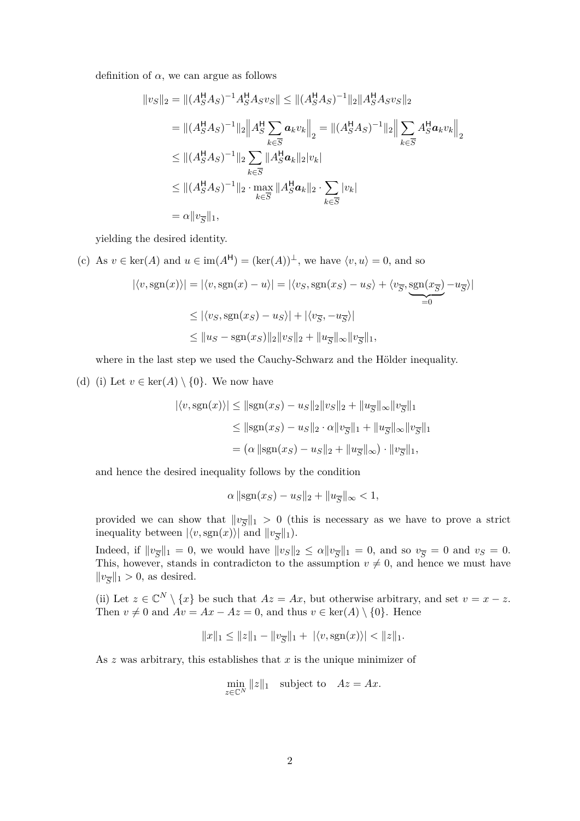definition of  $\alpha$ , we can argue as follows

$$
||v_S||_2 = ||(A_S^H A_S)^{-1} A_S^H A_S v_S|| \le ||(A_S^H A_S)^{-1}||_2 ||A_S^H A_S v_S||_2
$$
  
\n
$$
= ||(A_S^H A_S)^{-1}||_2 ||A_S^H \sum_{k \in \overline{S}} a_k v_k||_2 = ||(A_S^H A_S)^{-1}||_2 ||\sum_{k \in \overline{S}} A_S^H a_k v_k||_2
$$
  
\n
$$
\le ||(A_S^H A_S)^{-1}||_2 \sum_{k \in \overline{S}} ||A_S^H a_k||_2 |v_k|
$$
  
\n
$$
\le ||(A_S^H A_S)^{-1}||_2 \cdot \max_{k \in \overline{S}} ||A_S^H a_k||_2 \cdot \sum_{k \in \overline{S}} |v_k|
$$
  
\n
$$
= \alpha ||v_{\overline{S}}||_1,
$$

yielding the desired identity.

(c) As  $v \in \text{ker}(A)$  and  $u \in \text{im}(A^{\mathsf{H}}) = (\text{ker}(A))^{\perp}$ , we have  $\langle v, u \rangle = 0$ , and so

$$
|\langle v, \text{sgn}(x) \rangle| = |\langle v, \text{sgn}(x) - u \rangle| = |\langle v_S, \text{sgn}(x_S) - u_S \rangle + \langle v_{\overline{S}}, \underbrace{\text{sgn}(x_{\overline{S}})}_{=0} - u_{\overline{S}} \rangle|
$$
  

$$
\leq |\langle v_S, \text{sgn}(x_S) - u_S \rangle| + |\langle v_{\overline{S}}, -u_{\overline{S}} \rangle|
$$
  

$$
\leq ||u_S - \text{sgn}(x_S)||_2 ||v_S||_2 + ||u_{\overline{S}}||_{\infty} ||v_{\overline{S}}||_1,
$$

where in the last step we used the Cauchy-Schwarz and the Hölder inequality.

(d) (i) Let  $v \in \text{ker}(A) \setminus \{0\}$ . We now have

$$
|\langle v, \text{sgn}(x) \rangle| \le ||\text{sgn}(x_S) - u_S||_2 ||v_S||_2 + ||u_{\overline{S}}||_{\infty} ||v_{\overline{S}}||_1
$$
  
\n
$$
\le ||\text{sgn}(x_S) - u_S||_2 \cdot \alpha ||v_{\overline{S}}||_1 + ||u_{\overline{S}}||_{\infty} ||v_{\overline{S}}||_1
$$
  
\n
$$
= (\alpha ||\text{sgn}(x_S) - u_S||_2 + ||u_{\overline{S}}||_{\infty}) \cdot ||v_{\overline{S}}||_1,
$$

and hence the desired inequality follows by the condition

$$
\alpha \|\text{sgn}(x_S) - u_S\|_2 + \|u_{\overline{S}}\|_{\infty} < 1,
$$

provided we can show that  $\|v_{\overline{S}}\|_1 > 0$  (this is necessary as we have to prove a strict inequality between  $|\langle v, \text{sgn}(x) \rangle|$  and  $||v_{\overline{S}}||_1$ ).

Indeed, if  $||v_{\overline{S}}||_1 = 0$ , we would have  $||v_S||_2 \le \alpha ||v_{\overline{S}}||_1 = 0$ , and so  $v_{\overline{S}} = 0$  and  $v_S = 0$ . This, however, stands in contradicton to the assumption  $v \neq 0$ , and hence we must have  $||v_{\overline{S}}||_1 > 0$ , as desired.

(ii) Let  $z \in \mathbb{C}^N \setminus \{x\}$  be such that  $Az = Ax$ , but otherwise arbitrary, and set  $v = x - z$ . Then  $v \neq 0$  and  $Av = Ax - Az = 0$ , and thus  $v \in \text{ker}(A) \setminus \{0\}$ . Hence

$$
||x||_1 \le ||z||_1 - ||v_{\overline{S}}||_1 + |\langle v, \text{sgn}(x) \rangle| < ||z||_1.
$$

As *z* was arbitrary, this establishes that *x* is the unique minimizer of

$$
\min_{z \in \mathbb{C}^N} ||z||_1 \quad \text{subject to} \quad Az = Ax.
$$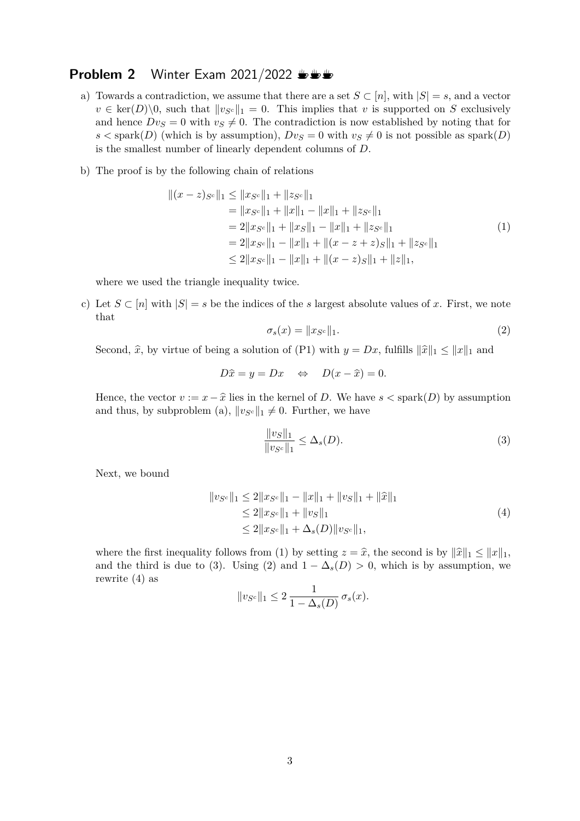# **Problem 2** Winter Exam 2021/2022  $\frac{1}{2}$

- a) Towards a contradiction, we assume that there are a set  $S \subset [n]$ , with  $|S| = s$ , and a vector  $v \in \text{ker}(D) \setminus 0$ , such that  $||v_{S}||_1 = 0$ . This implies that *v* is supported on *S* exclusively and hence  $Dv_s = 0$  with  $v_s \neq 0$ . The contradiction is now established by noting that for  $s <$ spark $(D)$  (which is by assumption),  $Dv_S = 0$  with  $v_S \neq 0$  is not possible as spark $(D)$ is the smallest number of linearly dependent columns of *D*.
- b) The proof is by the following chain of relations

$$
||(x-z)_{S^c}||_1 \le ||x_{S^c}||_1 + ||z_{S^c}||_1
$$
  
\n
$$
= ||x_{S^c}||_1 + ||x||_1 - ||x||_1 + ||z_{S^c}||_1
$$
  
\n
$$
= 2||x_{S^c}||_1 + ||x_S||_1 - ||x||_1 + ||z_{S^c}||_1
$$
  
\n
$$
= 2||x_{S^c}||_1 - ||x||_1 + ||(x - z + z)_{S}||_1 + ||z_{S^c}||_1
$$
  
\n
$$
\le 2||x_{S^c}||_1 - ||x||_1 + ||(x - z)_{S}||_1 + ||z||_1,
$$
  
\n(1)

where we used the triangle inequality twice.

c) Let  $S \subset [n]$  with  $|S| = s$  be the indices of the *s* largest absolute values of *x*. First, we note that

$$
\sigma_s(x) = \|x_{S^c}\|_1. \tag{2}
$$

Second,  $\hat{x}$ , by virtue of being a solution of (P1) with  $y = Dx$ , fulfills  $\|\hat{x}\|_1 \leq \|x\|_1$  and

$$
D\hat{x} = y = Dx \quad \Leftrightarrow \quad D(x - \hat{x}) = 0.
$$

Hence, the vector  $v := x - \hat{x}$  lies in the kernel of *D*. We have  $s <$  spark $(D)$  by assumption and thus, by subproblem (a),  $||v_{S}e||_1 \neq 0$ . Further, we have

$$
\frac{\|v_S\|_1}{\|v_{S^c}\|_1} \le \Delta_s(D). \tag{3}
$$

Next, we bound

$$
||v_{S^c}||_1 \le 2||x_{S^c}||_1 - ||x||_1 + ||v_S||_1 + ||\hat{x}||_1
$$
  
\n
$$
\le 2||x_{S^c}||_1 + ||v_S||_1
$$
  
\n
$$
\le 2||x_{S^c}||_1 + \Delta_s(D)||v_{S^c}||_1,
$$
\n(4)

where the first inequality follows from (1) by setting  $z = \hat{x}$ , the second is by  $\|\hat{x}\|_1 \leq \|x\|_1$ , and the third is due to (3). Using (2) and  $1 - \Delta_s(D) > 0$ , which is by assumption, we rewrite (4) as

$$
||v_{S^c}||_1 \leq 2 \frac{1}{1 - \Delta_s(D)} \sigma_s(x).
$$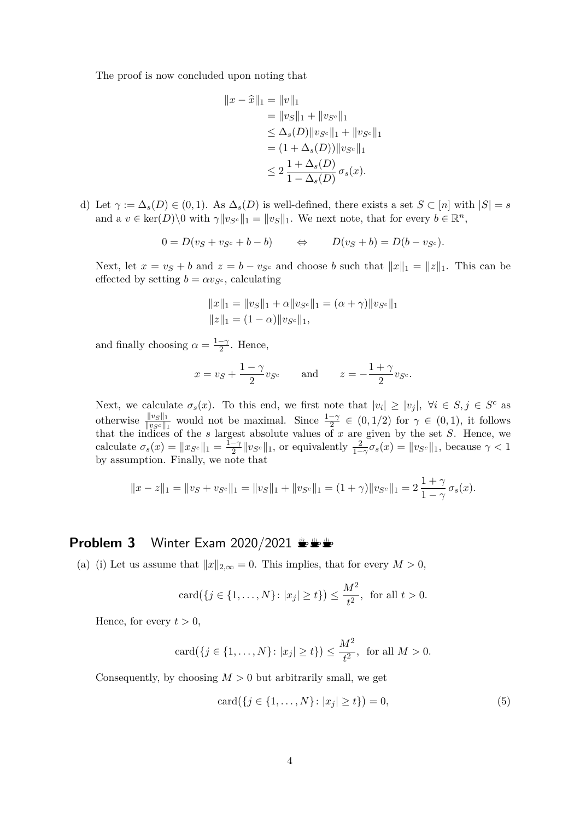The proof is now concluded upon noting that

$$
||x - \hat{x}||_1 = ||v||_1
$$
  
=  $||v_S||_1 + ||v_{S^c}||_1$   
 $\leq \Delta_s(D) ||v_{S^c}||_1 + ||v_{S^c}||_1$   
=  $(1 + \Delta_s(D)) ||v_{S^c}||_1$   
 $\leq 2 \frac{1 + \Delta_s(D)}{1 - \Delta_s(D)} \sigma_s(x).$ 

d) Let  $\gamma := \Delta_s(D) \in (0,1)$ . As  $\Delta_s(D)$  is well-defined, there exists a set  $S \subset [n]$  with  $|S| = s$ and a  $v \in \text{ker}(D) \setminus 0$  with  $\gamma \| v_{S^c} \|_1 = \| v_S \|_1$ . We next note, that for every  $b \in \mathbb{R}^n$ ,

$$
0 = D(v_S + v_{S^c} + b - b) \qquad \Leftrightarrow \qquad D(v_S + b) = D(b - v_{S^c}).
$$

Next, let  $x = v_s + b$  and  $z = b - v_{s}$  and choose *b* such that  $||x||_1 = ||z||_1$ . This can be effected by setting  $b = \alpha v_{S^c}$ , calculating

$$
||x||_1 = ||v_S||_1 + \alpha ||v_{S^c}||_1 = (\alpha + \gamma) ||v_{S^c}||_1
$$
  

$$
||z||_1 = (1 - \alpha) ||v_{S^c}||_1,
$$

and finally choosing  $\alpha = \frac{1-\gamma}{2}$  $\frac{-\gamma}{2}$ . Hence,

$$
x = v_S + \frac{1-\gamma}{2}v_{S^c} \quad \text{and} \quad z = -\frac{1+\gamma}{2}v_{S^c}.
$$

Next, we calculate  $\sigma_s(x)$ . To this end, we first note that  $|v_i| \ge |v_j|$ ,  $\forall i \in S, j \in S^c$  as otherwise  $\frac{\|v_S\|_1}{\|v_Sc\|_1}$  would not be maximal. Since  $\frac{1-\gamma}{2} \in (0,1/2)$  for  $\gamma \in (0,1)$ , it follows that the indices of the *s* largest absolute values of *x* are given by the set *S*. Hence, we calculate  $\sigma_s(x) = \|x_{S^c}\|_1 = \frac{1-\gamma}{2}$  $\frac{-\gamma}{2} \| v_{S^c} \|_1$ , or equivalently  $\frac{2}{1-\gamma} \sigma_s(x) = \| v_{S^c} \|_1$ , because  $\gamma < 1$ by assumption. Finally, we note that

$$
||x - z||_1 = ||v_S + v_{S^c}||_1 = ||v_S||_1 + ||v_{S^c}||_1 = (1 + \gamma)||v_{S^c}||_1 = 2\frac{1 + \gamma}{1 - \gamma}\sigma_s(x).
$$

#### **Problem 3** Winter Exam 2020/2021  $\mathbf{L} \mathbf{L}$

(a) (i) Let us assume that  $||x||_{2,\infty} = 0$ . This implies, that for every  $M > 0$ ,

$$
card({j \in \{1, ..., N\} : |x_j| \ge t\}) \le \frac{M^2}{t^2}, \text{ for all } t > 0.
$$

Hence, for every  $t > 0$ ,

$$
card({j \in \{1, ..., N\}} : |x_j| \ge t\}) \le \frac{M^2}{t^2}, \text{ for all } M > 0.
$$

Consequently, by choosing  $M > 0$  but arbitrarily small, we get

$$
card({j \in \{1, ..., N\}} : |x_j| \ge t\}) = 0,
$$
\n(5)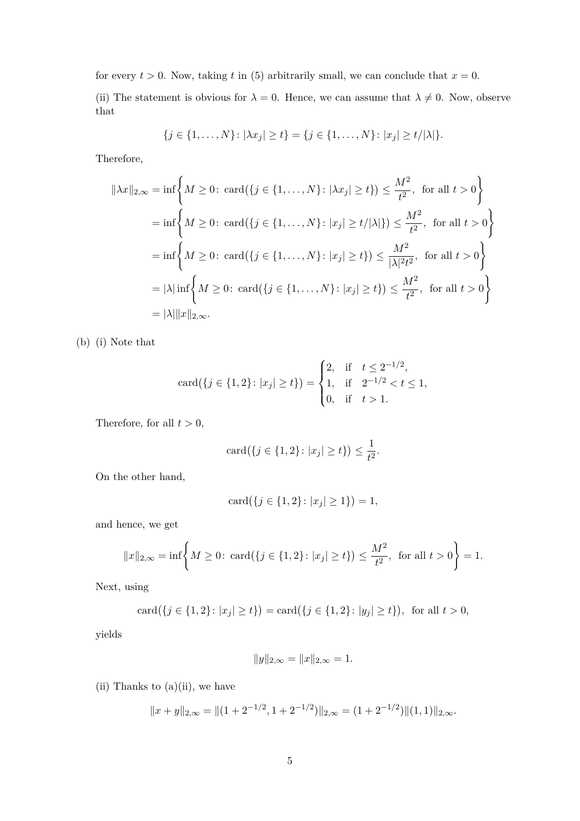for every  $t > 0$ . Now, taking t in (5) arbitrarily small, we can conclude that  $x = 0$ .

(ii) The statement is obvious for  $\lambda = 0$ . Hence, we can assume that  $\lambda \neq 0$ . Now, observe that

$$
\{j \in \{1, \ldots, N\} \colon |\lambda x_j| \ge t\} = \{j \in \{1, \ldots, N\} \colon |x_j| \ge t/|\lambda|\}.
$$

Therefore,

$$
\|\lambda x\|_{2,\infty} = \inf \left\{ M \ge 0 \colon \text{card}(\{j \in \{1, ..., N\} : |\lambda x_j| \ge t\}) \le \frac{M^2}{t^2}, \text{ for all } t > 0 \right\}
$$
  
=  $\inf \left\{ M \ge 0 \colon \text{card}(\{j \in \{1, ..., N\} : |x_j| \ge t/|\lambda|\}) \le \frac{M^2}{t^2}, \text{ for all } t > 0 \right\}$   
=  $\inf \left\{ M \ge 0 \colon \text{card}(\{j \in \{1, ..., N\} : |x_j| \ge t\}) \le \frac{M^2}{|\lambda|^2 t^2}, \text{ for all } t > 0 \right\}$   
=  $|\lambda| \inf \left\{ M \ge 0 \colon \text{card}(\{j \in \{1, ..., N\} : |x_j| \ge t\}) \le \frac{M^2}{t^2}, \text{ for all } t > 0 \right\}$   
=  $|\lambda| \|x\|_{2,\infty}$ .

(b) (i) Note that

$$
card({j \in {1, 2}: |x_j| \ge t}) = \begin{cases} 2, & \text{if } t \le 2^{-1/2}, \\ 1, & \text{if } 2^{-1/2} < t \le 1, \\ 0, & \text{if } t > 1. \end{cases}
$$

Therefore, for all  $t > 0$ ,

$$
card({j \in \{1, 2\} : |x_j| \ge t\}) \le \frac{1}{t^2}.
$$

On the other hand,

$$
card({j \in {1, 2}: |x_j| \ge 1}) = 1,
$$

and hence, we get

$$
||x||_{2,\infty} = \inf \left\{ M \ge 0 \colon \text{card}(\{j \in \{1,2\} : |x_j| \ge t\}) \le \frac{M^2}{t^2}, \text{ for all } t > 0 \right\} = 1.
$$

Next, using

$$
card({j \in {1, 2}: |x_j| \ge t}) = card({j \in {1, 2}: |y_j| \ge t}), \text{ for all } t > 0,
$$

yields

$$
||y||_{2,\infty} = ||x||_{2,\infty} = 1.
$$

(ii) Thanks to  $(a)(ii)$ , we have

$$
||x + y||_{2,\infty} = ||(1 + 2^{-1/2}, 1 + 2^{-1/2})||_{2,\infty} = (1 + 2^{-1/2})||(1,1)||_{2,\infty}.
$$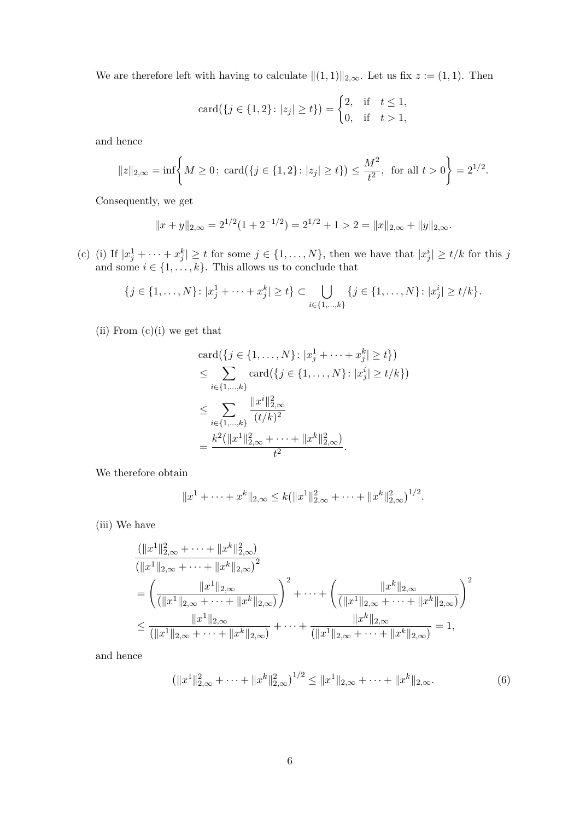We are therefore left with having to calculate  $||(1, 1)||_{2,\infty}$ . Let us fix  $z := (1, 1)$ . Then

$$
card({j \in {1, 2}: |z_j| \ge t}) = \begin{cases} 2, & \text{if } t \le 1, \\ 0, & \text{if } t > 1, \end{cases}
$$

and hence

$$
\|z\|_{2,\infty} = \inf \left\{ M \ge 0 \colon \text{card}(\{j \in \{1,2\} : |z_j| \ge t\}) \le \frac{M^2}{t^2}, \text{ for all } t > 0 \right\} = 2^{1/2}.
$$

Consequently, we get

$$
||x + y||_{2,\infty} = 2^{1/2} (1 + 2^{-1/2}) = 2^{1/2} + 1 > 2 = ||x||_{2,\infty} + ||y||_{2,\infty}.
$$

(c) (i) If  $|x_j^1 + \cdots + x_j^k| \ge t$  for some  $j \in \{1, \ldots, N\}$ , then we have that  $|x_j^i| \ge t/k$  for this *j* and some  $i \in \{1, \ldots, k\}$ . This allows us to conclude that

$$
\{j \in \{1, ..., N\} \colon |x_j^1 + \dots + x_j^k| \ge t\} \subset \bigcup_{i \in \{1, ..., k\}} \{j \in \{1, ..., N\} \colon |x_j^i| \ge t/k\}.
$$

(ii) From  $(c)(i)$  we get that

$$
card({j \in \{1, ..., N\} : |x_j^1 + \cdots + x_j^k| \ge t\}})
$$
  
\n
$$
\le \sum_{i \in \{1, ..., k\}} card({j \in \{1, ..., N\} : |x_j^i| \ge t/k\}})
$$
  
\n
$$
\le \sum_{i \in \{1, ..., k\}} \frac{\|x^i\|_{2,\infty}^2}{(t/k)^2}
$$
  
\n
$$
= \frac{k^2(\|x^1\|_{2,\infty}^2 + \cdots + \|x^k\|_{2,\infty}^2)}{t^2}.
$$

We therefore obtain

$$
||x^1 + \cdots + x^k||_{2,\infty} \le k(||x^1||_{2,\infty}^2 + \cdots + ||x^k||_{2,\infty}^2)^{1/2}.
$$

(iii) We have

$$
\frac{(\|x^1\|_{2,\infty}^2 + \dots + \|x^k\|_{2,\infty}^2)}{(\|x^1\|_{2,\infty} + \dots + \|x^k\|_{2,\infty})^2}
$$
\n
$$
= \left(\frac{\|x^1\|_{2,\infty}}{(\|x^1\|_{2,\infty} + \dots + \|x^k\|_{2,\infty})}\right)^2 + \dots + \left(\frac{\|x^k\|_{2,\infty}}{(\|x^1\|_{2,\infty} + \dots + \|x^k\|_{2,\infty})}\right)^2
$$
\n
$$
\leq \frac{\|x^1\|_{2,\infty}}{(\|x^1\|_{2,\infty} + \dots + \|x^k\|_{2,\infty})} + \dots + \frac{\|x^k\|_{2,\infty}}{(\|x^1\|_{2,\infty} + \dots + \|x^k\|_{2,\infty})} = 1,
$$

and hence

$$
\left(\|x^1\|_{2,\infty}^2 + \dots + \|x^k\|_{2,\infty}^2\right)^{1/2} \le \|x^1\|_{2,\infty} + \dots + \|x^k\|_{2,\infty}.\tag{6}
$$